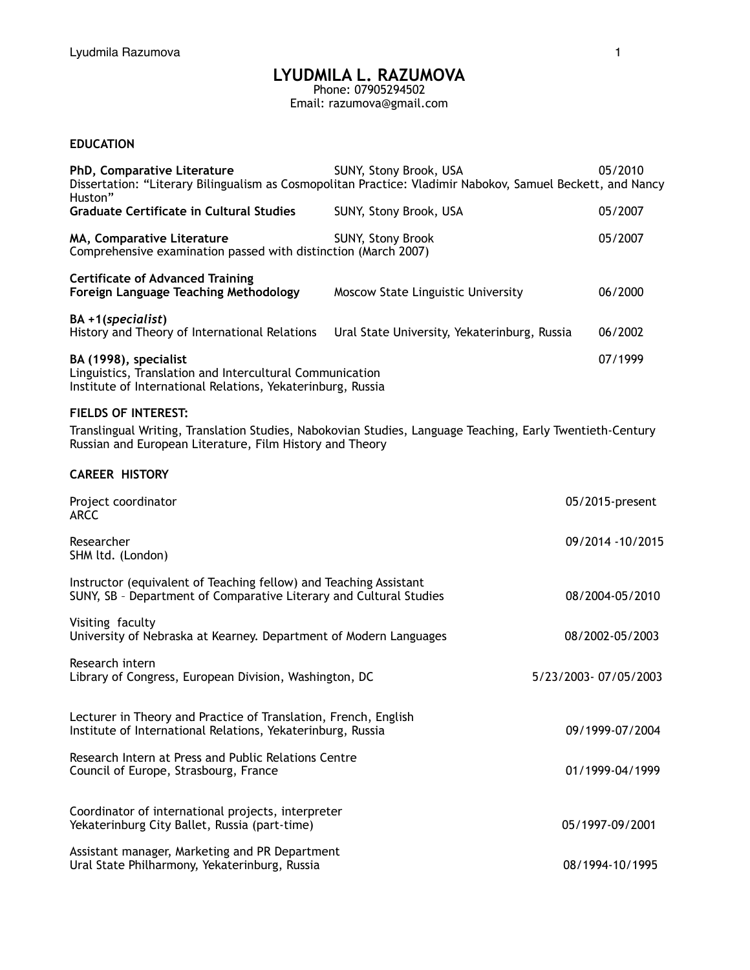# **LYUDMILA L. RAZUMOVA**

Phone: 07905294502 Email: razumova@gmail.com

## **EDUCATION**

| PhD, Comparative Literature<br>Huston"                                                                                                                                | 05/2010<br>SUNY, Stony Brook, USA<br>Dissertation: "Literary Bilingualism as Cosmopolitan Practice: Vladimir Nabokov, Samuel Beckett, and Nancy |                 |                  |  |
|-----------------------------------------------------------------------------------------------------------------------------------------------------------------------|-------------------------------------------------------------------------------------------------------------------------------------------------|-----------------|------------------|--|
| <b>Graduate Certificate in Cultural Studies</b>                                                                                                                       | SUNY, Stony Brook, USA                                                                                                                          |                 | 05/2007          |  |
| MA, Comparative Literature<br>Comprehensive examination passed with distinction (March 2007)                                                                          | SUNY, Stony Brook                                                                                                                               |                 | 05/2007          |  |
| <b>Certificate of Advanced Training</b><br>Foreign Language Teaching Methodology                                                                                      | Moscow State Linguistic University                                                                                                              |                 | 06/2000          |  |
| BA +1(specialist)<br>History and Theory of International Relations                                                                                                    | Ural State University, Yekaterinburg, Russia                                                                                                    |                 | 06/2002          |  |
| BA (1998), specialist<br>Linguistics, Translation and Intercultural Communication<br>Institute of International Relations, Yekaterinburg, Russia                      |                                                                                                                                                 |                 | 07/1999          |  |
| <b>FIELDS OF INTEREST:</b>                                                                                                                                            |                                                                                                                                                 |                 |                  |  |
| Translingual Writing, Translation Studies, Nabokovian Studies, Language Teaching, Early Twentieth-Century<br>Russian and European Literature, Film History and Theory |                                                                                                                                                 |                 |                  |  |
| <b>CAREER HISTORY</b>                                                                                                                                                 |                                                                                                                                                 |                 |                  |  |
| Project coordinator<br><b>ARCC</b>                                                                                                                                    |                                                                                                                                                 | 05/2015-present |                  |  |
| Researcher<br>SHM ltd. (London)                                                                                                                                       |                                                                                                                                                 |                 | 09/2014 -10/2015 |  |
| Instructor (equivalent of Teaching fellow) and Teaching Assistant<br>SUNY, SB - Department of Comparative Literary and Cultural Studies                               |                                                                                                                                                 |                 | 08/2004-05/2010  |  |
| Visiting faculty<br>University of Nebraska at Kearney. Department of Modern Languages                                                                                 |                                                                                                                                                 |                 | 08/2002-05/2003  |  |
| Research intern<br>5/23/2003-07/05/2003<br>Library of Congress, European Division, Washington, DC                                                                     |                                                                                                                                                 |                 |                  |  |
| Lecturer in Theory and Practice of Translation, French, English<br>Institute of International Relations, Yekaterinburg, Russia                                        |                                                                                                                                                 |                 | 09/1999-07/2004  |  |
| Research Intern at Press and Public Relations Centre<br>Council of Europe, Strasbourg, France                                                                         |                                                                                                                                                 |                 | 01/1999-04/1999  |  |
| Coordinator of international projects, interpreter<br>Yekaterinburg City Ballet, Russia (part-time)                                                                   |                                                                                                                                                 |                 | 05/1997-09/2001  |  |
| Assistant manager, Marketing and PR Department<br>Ural State Philharmony, Yekaterinburg, Russia                                                                       |                                                                                                                                                 |                 | 08/1994-10/1995  |  |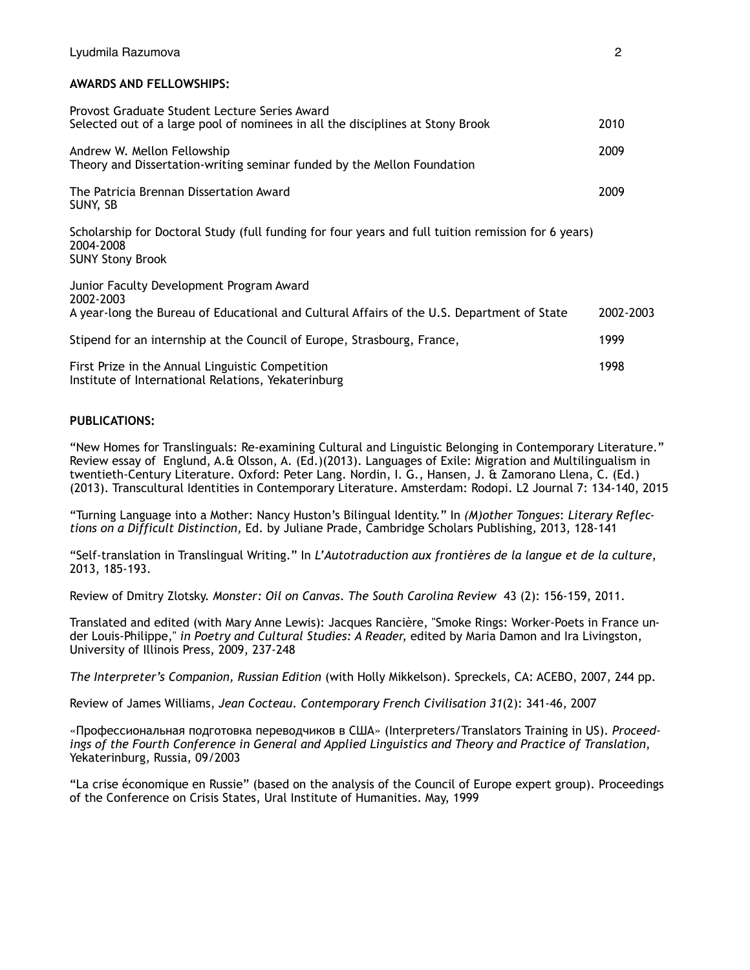#### **AWARDS AND FELLOWSHIPS:**

| Provost Graduate Student Lecture Series Award                                                                                               |           |
|---------------------------------------------------------------------------------------------------------------------------------------------|-----------|
| Selected out of a large pool of nominees in all the disciplines at Stony Brook                                                              | 2010      |
| Andrew W. Mellon Fellowship<br>Theory and Dissertation-writing seminar funded by the Mellon Foundation                                      | 2009      |
| The Patricia Brennan Dissertation Award<br>SUNY, SB                                                                                         | 2009      |
| Scholarship for Doctoral Study (full funding for four years and full tuition remission for 6 years)<br>2004-2008<br><b>SUNY Stony Brook</b> |           |
| Junior Faculty Development Program Award<br>2002-2003                                                                                       |           |
| A year-long the Bureau of Educational and Cultural Affairs of the U.S. Department of State                                                  | 2002-2003 |
| Stipend for an internship at the Council of Europe, Strasbourg, France,                                                                     | 1999      |
| First Prize in the Annual Linguistic Competition<br>Institute of International Relations, Yekaterinburg                                     | 1998      |

#### **PUBLICATIONS:**

"New Homes for Translinguals: Re-examining Cultural and Linguistic Belonging in Contemporary Literature." Review essay of Englund, A.& Olsson, A. (Ed.)(2013). Languages of Exile: Migration and Multilingualism in twentieth-Century Literature. Oxford: Peter Lang. Nordin, I. G., Hansen, J. & Zamorano Llena, C. (Ed.) (2013). Transcultural Identities in Contemporary Literature. Amsterdam: Rodopi. L2 Journal 7: 134-140, 2015

"Turning Language into a Mother: Nancy Huston's Bilingual Identity." In *(M)other Tongues*: *Literary Reflections on a Difficult Distinction,* Ed. by Juliane Prade, Cambridge Scholars Publishing*,* 2013, 128-141

"Self-translation in Translingual Writing." In *L'Autotraduction aux frontières de la langue et de la culture*, 2013, 185-193.

Review of Dmitry Zlotsky. *Monster: Oil on Canvas*. *The South Carolina Review* 43 (2): 156-159, 2011.

Translated and edited (with Mary Anne Lewis): Jacques Rancière, "Smoke Rings: Worker-Poets in France under Louis-Philippe," *in Poetry and Cultural Studies: A Reader,* edited by Maria Damon and Ira Livingston, University of Illinois Press, 2009, 237-248

*The Interpreter's Companion, Russian Edition* (with Holly Mikkelson). Spreckels, CA: ACEBO, 2007, 244 pp.

Review of James Williams, *Jean Cocteau*. *Contemporary French Civilisation 31*(2): 341-46, 2007

«Профессиональная подготовка переводчиков в США» (Interpreters/Translators Training in US). *Proceedings of the Fourth Conference in General and Applied Linguistics and Theory and Practice of Translation*, Yekaterinburg, Russia, 09/2003

"La crise économique en Russie" (based on the analysis of the Council of Europe expert group). Proceedings of the Conference on Crisis States, Ural Institute of Humanities. May, 1999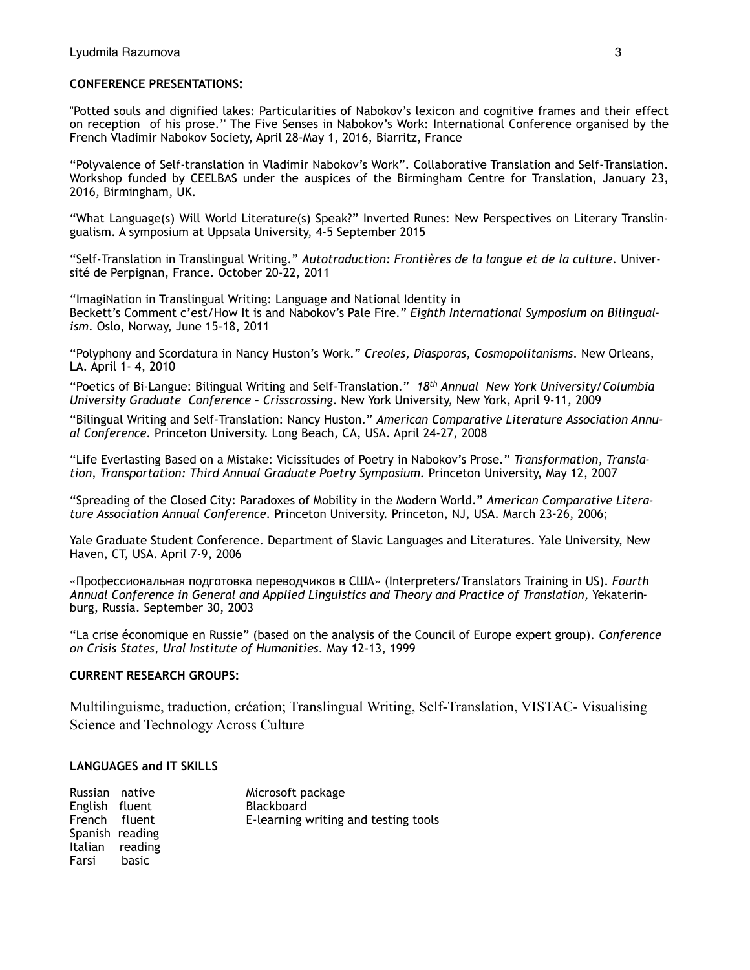### **CONFERENCE PRESENTATIONS:**

''Potted souls and dignified lakes: Particularities of Nabokov's lexicon and cognitive frames and their effect on reception of his prose.'' The Five Senses in Nabokov's Work: International Conference organised by the French Vladimir Nabokov Society, April 28-May 1, 2016, Biarritz, France

"Polyvalence of Self-translation in Vladimir Nabokov's Work". Collaborative Translation and Self-Translation. Workshop funded by CEELBAS under the auspices of the Birmingham Centre for Translation, January 23, 2016, Birmingham, UK.

"What Language(s) Will World Literature(s) Speak?" Inverted Runes: New Perspectives on Literary Translingualism. A symposium at Uppsala University, 4-5 September 2015

"Self-Translation in Translingual Writing." *Autotraduction: Frontières de la langue et de la culture.* Université de Perpignan, France. October 20-22, 2011

"ImagiNation in Translingual Writing: Language and National Identity in Beckett's Comment c'est/How It is and Nabokov's Pale Fire." *Eighth International Symposium on Bilingualism*. Oslo, Norway, June 15-18, 2011

"Polyphony and Scordatura in Nancy Huston's Work." *Creoles, Diasporas, Cosmopolitanisms*. New Orleans, LA. April 1- 4, 2010

"Poetics of Bi-Langue: Bilingual Writing and Self-Translation." *18th Annual New York University/Columbia University Graduate Conference – Crisscrossing*. New York University, New York, April 9-11, 2009

"Bilingual Writing and Self-Translation: Nancy Huston." *American Comparative Literature Association Annual Conference.* Princeton University. Long Beach, CA, USA. April 24-27, 2008

"Life Everlasting Based on a Mistake: Vicissitudes of Poetry in Nabokov's Prose." *Transformation, Translation, Transportation: Third Annual Graduate Poetry Symposium.* Princeton University, May 12, 2007

"Spreading of the Closed City: Paradoxes of Mobility in the Modern World." *American Comparative Literature Association Annual Conference.* Princeton University. Princeton, NJ, USA. March 23-26, 2006;

Yale Graduate Student Conference. Department of Slavic Languages and Literatures. Yale University, New Haven, CT, USA. April 7-9, 2006

«Профессиональная подготовка переводчиков в США» (Interpreters/Translators Training in US). *Fourth Annual Conference in General and Applied Linguistics and Theory and Practice of Translation,* Yekaterinburg, Russia. September 30, 2003

"La crise économique en Russie" (based on the analysis of the Council of Europe expert group). *Conference on Crisis States, Ural Institute of Humanities*. May 12-13, 1999

#### **CURRENT RESEARCH GROUPS:**

Multilinguisme, traduction, création; Translingual Writing, Self-Translation, VISTAC- Visualising Science and Technology Across Culture

#### **LANGUAGES and IT SKILLS**

| Russian native  |                 | Microsoft package                    |
|-----------------|-----------------|--------------------------------------|
| English fluent  |                 | Blackboard                           |
| French fluent   |                 | E-learning writing and testing tools |
| Spanish reading |                 |                                      |
|                 | Italian reading |                                      |
| Farsi           | basic           |                                      |